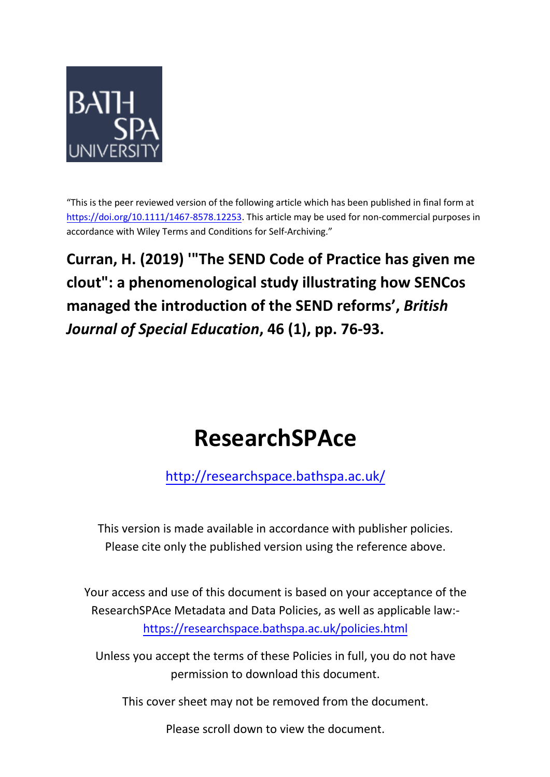

"This is the peer reviewed version of the following article which has been published in final form at [https://doi.org/10.1111/1467-8578.12253.](https://doi.org/10.1111/1467-8578.12253) This article may be used for non-commercial purposes in accordance with Wiley Terms and Conditions for Self-Archiving."

**Curran, H. (2019) '"The SEND Code of Practice has given me clout": a phenomenological study illustrating how SENCos managed the introduction of the SEND reforms' ,** *British Journal of Special Education***, 46 (1), pp. 76-93.**

# **ResearchSPAce**

<http://researchspace.bathspa.ac.uk/>

This version is made available in accordance with publisher policies. Please cite only the published version using the reference above.

Your access and use of this document is based on your acceptance of the ResearchSPAce Metadata and Data Policies, as well as applicable law: https://researchspace.bathspa.ac.uk/policies.html

Unless you accept the terms of these Policies in full, you do not have permission to download this document.

This cover sheet may not be removed from the document.

Please scroll down to view the document.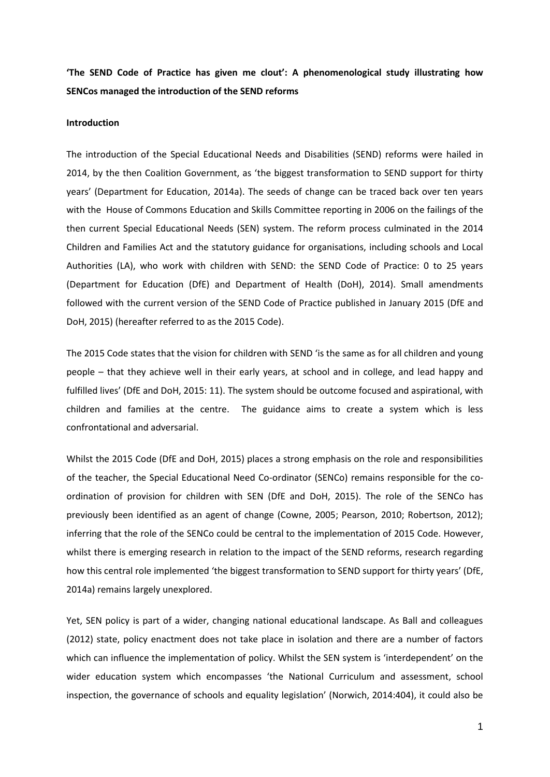**'The SEND Code of Practice has given me clout': A phenomenological study illustrating how SENCos managed the introduction of the SEND reforms** 

#### **Introduction**

The introduction of the Special Educational Needs and Disabilities (SEND) reforms were hailed in 2014, by the then Coalition Government, as 'the biggest transformation to SEND support for thirty years' (Department for Education, 2014a). The seeds of change can be traced back over ten years with the House of Commons Education and Skills Committee reporting in 2006 on the failings of the then current Special Educational Needs (SEN) system. The reform process culminated in the 2014 Children and Families Act and the statutory guidance for organisations, including schools and Local Authorities (LA), who work with children with SEND: the SEND Code of Practice: 0 to 25 years (Department for Education (DfE) and Department of Health (DoH), 2014). Small amendments followed with the current version of the SEND Code of Practice published in January 2015 (DfE and DoH, 2015) (hereafter referred to as the 2015 Code).

The 2015 Code states that the vision for children with SEND 'is the same as for all children and young people – that they achieve well in their early years, at school and in college, and lead happy and fulfilled lives' (DfE and DoH, 2015: 11). The system should be outcome focused and aspirational, with children and families at the centre. The guidance aims to create a system which is less confrontational and adversarial.

Whilst the 2015 Code (DfE and DoH, 2015) places a strong emphasis on the role and responsibilities of the teacher, the Special Educational Need Co-ordinator (SENCo) remains responsible for the coordination of provision for children with SEN (DfE and DoH, 2015). The role of the SENCo has previously been identified as an agent of change (Cowne, 2005; Pearson, 2010; Robertson, 2012); inferring that the role of the SENCo could be central to the implementation of 2015 Code. However, whilst there is emerging research in relation to the impact of the SEND reforms, research regarding how this central role implemented 'the biggest transformation to SEND support for thirty years' (DfE, 2014a) remains largely unexplored.

Yet, SEN policy is part of a wider, changing national educational landscape. As Ball and colleagues (2012) state, policy enactment does not take place in isolation and there are a number of factors which can influence the implementation of policy. Whilst the SEN system is 'interdependent' on the wider education system which encompasses 'the National Curriculum and assessment, school inspection, the governance of schools and equality legislation' (Norwich, 2014:404), it could also be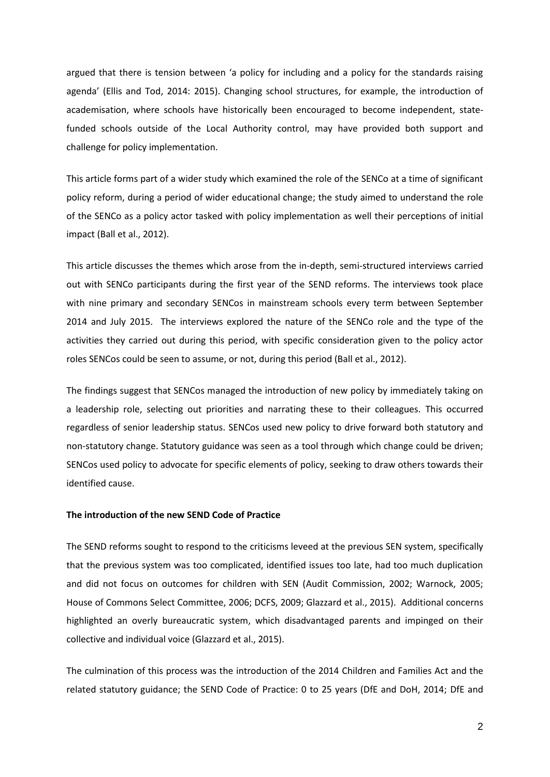argued that there is tension between 'a policy for including and a policy for the standards raising agenda' (Ellis and Tod, 2014: 2015). Changing school structures, for example, the introduction of academisation, where schools have historically been encouraged to become independent, statefunded schools outside of the Local Authority control, may have provided both support and challenge for policy implementation.

This article forms part of a wider study which examined the role of the SENCo at a time of significant policy reform, during a period of wider educational change; the study aimed to understand the role of the SENCo as a policy actor tasked with policy implementation as well their perceptions of initial impact (Ball et al., 2012).

This article discusses the themes which arose from the in-depth, semi-structured interviews carried out with SENCo participants during the first year of the SEND reforms. The interviews took place with nine primary and secondary SENCos in mainstream schools every term between September 2014 and July 2015. The interviews explored the nature of the SENCo role and the type of the activities they carried out during this period, with specific consideration given to the policy actor roles SENCos could be seen to assume, or not, during this period (Ball et al., 2012).

The findings suggest that SENCos managed the introduction of new policy by immediately taking on a leadership role, selecting out priorities and narrating these to their colleagues. This occurred regardless of senior leadership status. SENCos used new policy to drive forward both statutory and non-statutory change. Statutory guidance was seen as a tool through which change could be driven; SENCos used policy to advocate for specific elements of policy, seeking to draw others towards their identified cause.

# **The introduction of the new SEND Code of Practice**

The SEND reforms sought to respond to the criticisms leveed at the previous SEN system, specifically that the previous system was too complicated, identified issues too late, had too much duplication and did not focus on outcomes for children with SEN (Audit Commission, 2002; Warnock, 2005; House of Commons Select Committee, 2006; DCFS, 2009; Glazzard et al., 2015). Additional concerns highlighted an overly bureaucratic system, which disadvantaged parents and impinged on their collective and individual voice (Glazzard et al., 2015).

The culmination of this process was the introduction of the 2014 Children and Families Act and the related statutory guidance; the SEND Code of Practice: 0 to 25 years (DfE and DoH, 2014; DfE and

2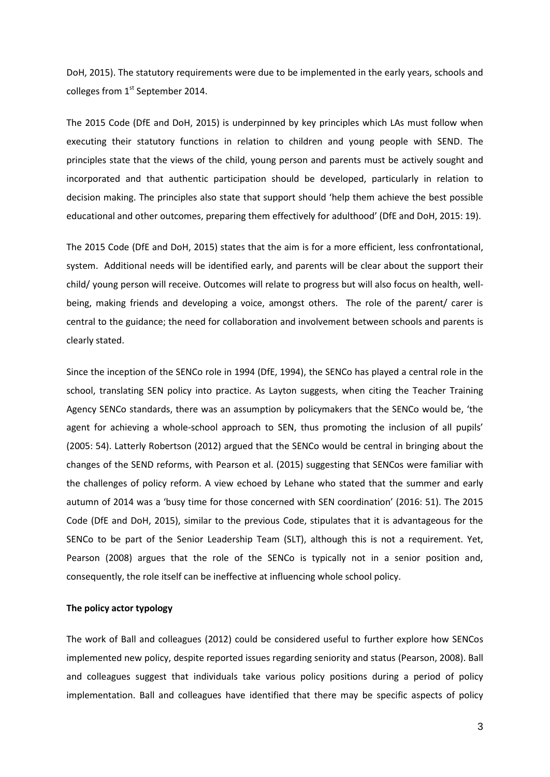DoH, 2015). The statutory requirements were due to be implemented in the early years, schools and colleges from 1<sup>st</sup> September 2014.

The 2015 Code (DfE and DoH, 2015) is underpinned by key principles which LAs must follow when executing their statutory functions in relation to children and young people with SEND. The principles state that the views of the child, young person and parents must be actively sought and incorporated and that authentic participation should be developed, particularly in relation to decision making. The principles also state that support should 'help them achieve the best possible educational and other outcomes, preparing them effectively for adulthood' (DfE and DoH, 2015: 19).

The 2015 Code (DfE and DoH, 2015) states that the aim is for a more efficient, less confrontational, system. Additional needs will be identified early, and parents will be clear about the support their child/ young person will receive. Outcomes will relate to progress but will also focus on health, wellbeing, making friends and developing a voice, amongst others. The role of the parent/ carer is central to the guidance; the need for collaboration and involvement between schools and parents is clearly stated.

Since the inception of the SENCo role in 1994 (DfE, 1994), the SENCo has played a central role in the school, translating SEN policy into practice. As Layton suggests, when citing the Teacher Training Agency SENCo standards, there was an assumption by policymakers that the SENCo would be, 'the agent for achieving a whole-school approach to SEN, thus promoting the inclusion of all pupils' (2005: 54). Latterly Robertson (2012) argued that the SENCo would be central in bringing about the changes of the SEND reforms, with Pearson et al. (2015) suggesting that SENCos were familiar with the challenges of policy reform. A view echoed by Lehane who stated that the summer and early autumn of 2014 was a 'busy time for those concerned with SEN coordination' (2016: 51). The 2015 Code (DfE and DoH, 2015), similar to the previous Code, stipulates that it is advantageous for the SENCo to be part of the Senior Leadership Team (SLT), although this is not a requirement. Yet, Pearson (2008) argues that the role of the SENCo is typically not in a senior position and, consequently, the role itself can be ineffective at influencing whole school policy.

## **The policy actor typology**

The work of Ball and colleagues (2012) could be considered useful to further explore how SENCos implemented new policy, despite reported issues regarding seniority and status (Pearson, 2008). Ball and colleagues suggest that individuals take various policy positions during a period of policy implementation. Ball and colleagues have identified that there may be specific aspects of policy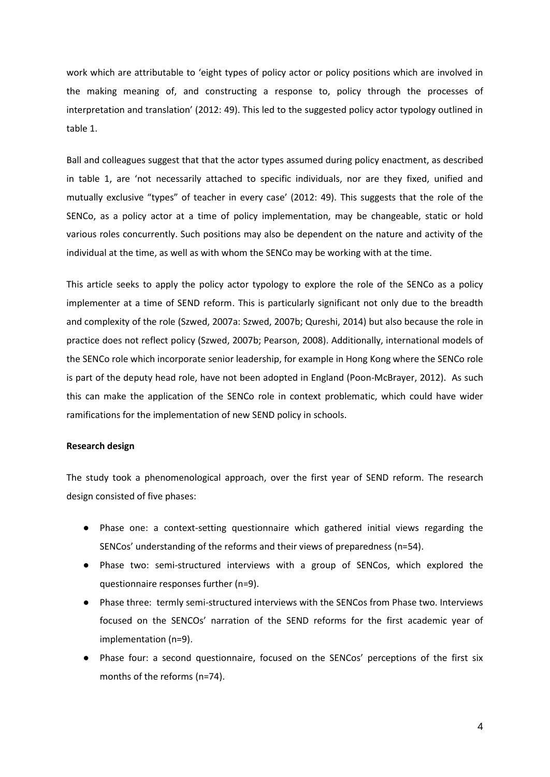work which are attributable to 'eight types of policy actor or policy positions which are involved in the making meaning of, and constructing a response to, policy through the processes of interpretation and translation' (2012: 49). This led to the suggested policy actor typology outlined in table 1.

Ball and colleagues suggest that that the actor types assumed during policy enactment, as described in table 1, are 'not necessarily attached to specific individuals, nor are they fixed, unified and mutually exclusive "types" of teacher in every case' (2012: 49). This suggests that the role of the SENCo, as a policy actor at a time of policy implementation, may be changeable, static or hold various roles concurrently. Such positions may also be dependent on the nature and activity of the individual at the time, as well as with whom the SENCo may be working with at the time.

This article seeks to apply the policy actor typology to explore the role of the SENCo as a policy implementer at a time of SEND reform. This is particularly significant not only due to the breadth and complexity of the role (Szwed, 2007a: Szwed, 2007b; Qureshi, 2014) but also because the role in practice does not reflect policy (Szwed, 2007b; Pearson, 2008). Additionally, international models of the SENCo role which incorporate senior leadership, for example in Hong Kong where the SENCo role is part of the deputy head role, have not been adopted in England (Poon-McBrayer, 2012). As such this can make the application of the SENCo role in context problematic, which could have wider ramifications for the implementation of new SEND policy in schools.

#### **Research design**

The study took a phenomenological approach, over the first year of SEND reform. The research design consisted of five phases:

- Phase one: a context-setting questionnaire which gathered initial views regarding the SENCos' understanding of the reforms and their views of preparedness (n=54).
- Phase two: semi-structured interviews with a group of SENCos, which explored the questionnaire responses further (n=9).
- Phase three: termly semi-structured interviews with the SENCos from Phase two. Interviews focused on the SENCOs' narration of the SEND reforms for the first academic year of implementation (n=9).
- Phase four: a second questionnaire, focused on the SENCos' perceptions of the first six months of the reforms (n=74).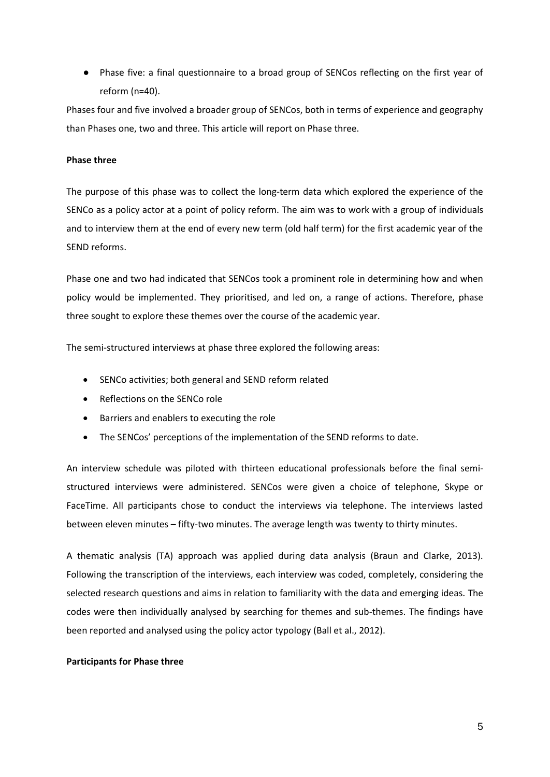● Phase five: a final questionnaire to a broad group of SENCos reflecting on the first year of reform (n=40).

Phases four and five involved a broader group of SENCos, both in terms of experience and geography than Phases one, two and three. This article will report on Phase three.

# **Phase three**

The purpose of this phase was to collect the long-term data which explored the experience of the SENCo as a policy actor at a point of policy reform. The aim was to work with a group of individuals and to interview them at the end of every new term (old half term) for the first academic year of the SEND reforms.

Phase one and two had indicated that SENCos took a prominent role in determining how and when policy would be implemented. They prioritised, and led on, a range of actions. Therefore, phase three sought to explore these themes over the course of the academic year.

The semi-structured interviews at phase three explored the following areas:

- SENCo activities; both general and SEND reform related
- Reflections on the SENCo role
- Barriers and enablers to executing the role
- The SENCos' perceptions of the implementation of the SEND reforms to date.

An interview schedule was piloted with thirteen educational professionals before the final semistructured interviews were administered. SENCos were given a choice of telephone, Skype or FaceTime. All participants chose to conduct the interviews via telephone. The interviews lasted between eleven minutes – fifty-two minutes. The average length was twenty to thirty minutes.

A thematic analysis (TA) approach was applied during data analysis (Braun and Clarke, 2013). Following the transcription of the interviews, each interview was coded, completely, considering the selected research questions and aims in relation to familiarity with the data and emerging ideas. The codes were then individually analysed by searching for themes and sub-themes. The findings have been reported and analysed using the policy actor typology (Ball et al., 2012).

# **Participants for Phase three**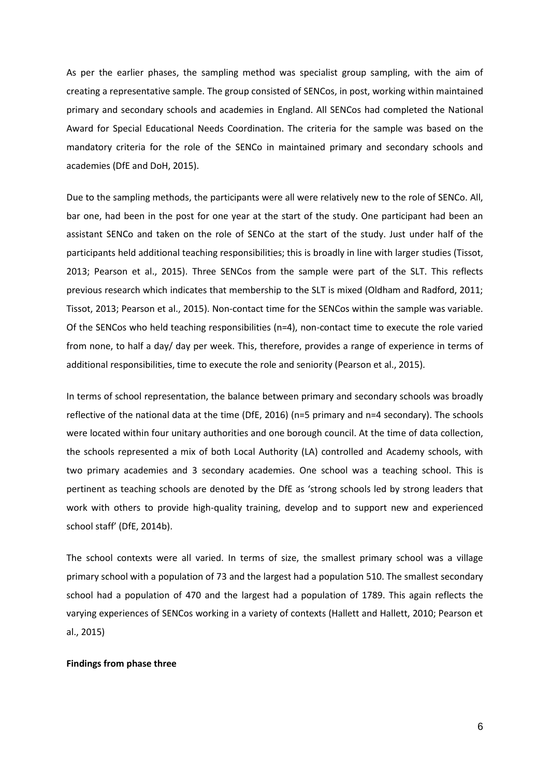As per the earlier phases, the sampling method was specialist group sampling, with the aim of creating a representative sample. The group consisted of SENCos, in post, working within maintained primary and secondary schools and academies in England. All SENCos had completed the National Award for Special Educational Needs Coordination. The criteria for the sample was based on the mandatory criteria for the role of the SENCo in maintained primary and secondary schools and academies (DfE and DoH, 2015).

Due to the sampling methods, the participants were all were relatively new to the role of SENCo. All, bar one, had been in the post for one year at the start of the study. One participant had been an assistant SENCo and taken on the role of SENCo at the start of the study. Just under half of the participants held additional teaching responsibilities; this is broadly in line with larger studies (Tissot, 2013; Pearson et al., 2015). Three SENCos from the sample were part of the SLT. This reflects previous research which indicates that membership to the SLT is mixed (Oldham and Radford, 2011; Tissot, 2013; Pearson et al., 2015). Non-contact time for the SENCos within the sample was variable. Of the SENCos who held teaching responsibilities (n=4), non-contact time to execute the role varied from none, to half a day/ day per week. This, therefore, provides a range of experience in terms of additional responsibilities, time to execute the role and seniority (Pearson et al., 2015).

In terms of school representation, the balance between primary and secondary schools was broadly reflective of the national data at the time (DfE, 2016) (n=5 primary and n=4 secondary). The schools were located within four unitary authorities and one borough council. At the time of data collection, the schools represented a mix of both Local Authority (LA) controlled and Academy schools, with two primary academies and 3 secondary academies. One school was a teaching school. This is pertinent as teaching schools are denoted by the DfE as 'strong schools led by strong leaders that work with others to provide high-quality training, develop and to support new and experienced school staff' (DfE, 2014b).

The school contexts were all varied. In terms of size, the smallest primary school was a village primary school with a population of 73 and the largest had a population 510. The smallest secondary school had a population of 470 and the largest had a population of 1789. This again reflects the varying experiences of SENCos working in a variety of contexts (Hallett and Hallett, 2010; Pearson et al., 2015)

#### **Findings from phase three**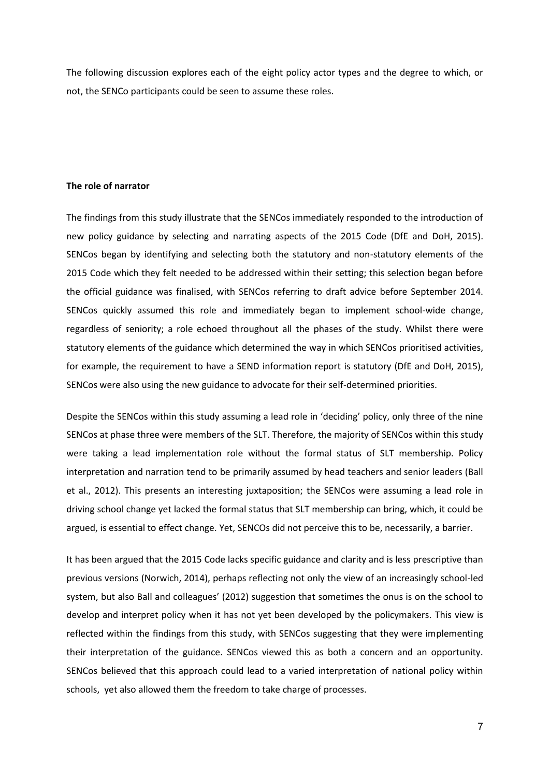The following discussion explores each of the eight policy actor types and the degree to which, or not, the SENCo participants could be seen to assume these roles.

## **The role of narrator**

The findings from this study illustrate that the SENCos immediately responded to the introduction of new policy guidance by selecting and narrating aspects of the 2015 Code (DfE and DoH, 2015). SENCos began by identifying and selecting both the statutory and non-statutory elements of the 2015 Code which they felt needed to be addressed within their setting; this selection began before the official guidance was finalised, with SENCos referring to draft advice before September 2014. SENCos quickly assumed this role and immediately began to implement school-wide change, regardless of seniority; a role echoed throughout all the phases of the study. Whilst there were statutory elements of the guidance which determined the way in which SENCos prioritised activities, for example, the requirement to have a SEND information report is statutory (DfE and DoH, 2015), SENCos were also using the new guidance to advocate for their self-determined priorities.

Despite the SENCos within this study assuming a lead role in 'deciding' policy, only three of the nine SENCos at phase three were members of the SLT. Therefore, the majority of SENCos within this study were taking a lead implementation role without the formal status of SLT membership. Policy interpretation and narration tend to be primarily assumed by head teachers and senior leaders (Ball et al., 2012). This presents an interesting juxtaposition; the SENCos were assuming a lead role in driving school change yet lacked the formal status that SLT membership can bring, which, it could be argued, is essential to effect change. Yet, SENCOs did not perceive this to be, necessarily, a barrier.

It has been argued that the 2015 Code lacks specific guidance and clarity and is less prescriptive than previous versions (Norwich, 2014), perhaps reflecting not only the view of an increasingly school-led system, but also Ball and colleagues' (2012) suggestion that sometimes the onus is on the school to develop and interpret policy when it has not yet been developed by the policymakers. This view is reflected within the findings from this study, with SENCos suggesting that they were implementing their interpretation of the guidance. SENCos viewed this as both a concern and an opportunity. SENCos believed that this approach could lead to a varied interpretation of national policy within schools, yet also allowed them the freedom to take charge of processes.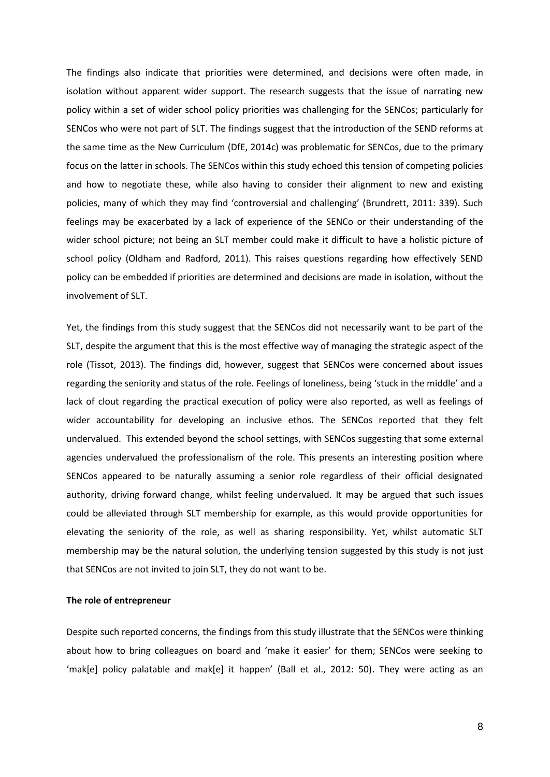The findings also indicate that priorities were determined, and decisions were often made, in isolation without apparent wider support. The research suggests that the issue of narrating new policy within a set of wider school policy priorities was challenging for the SENCos; particularly for SENCos who were not part of SLT. The findings suggest that the introduction of the SEND reforms at the same time as the New Curriculum (DfE, 2014c) was problematic for SENCos, due to the primary focus on the latter in schools. The SENCos within this study echoed this tension of competing policies and how to negotiate these, while also having to consider their alignment to new and existing policies, many of which they may find 'controversial and challenging' (Brundrett, 2011: 339). Such feelings may be exacerbated by a lack of experience of the SENCo or their understanding of the wider school picture; not being an SLT member could make it difficult to have a holistic picture of school policy (Oldham and Radford, 2011). This raises questions regarding how effectively SEND policy can be embedded if priorities are determined and decisions are made in isolation, without the involvement of SLT.

Yet, the findings from this study suggest that the SENCos did not necessarily want to be part of the SLT, despite the argument that this is the most effective way of managing the strategic aspect of the role (Tissot, 2013). The findings did, however, suggest that SENCos were concerned about issues regarding the seniority and status of the role. Feelings of loneliness, being 'stuck in the middle' and a lack of clout regarding the practical execution of policy were also reported, as well as feelings of wider accountability for developing an inclusive ethos. The SENCos reported that they felt undervalued. This extended beyond the school settings, with SENCos suggesting that some external agencies undervalued the professionalism of the role. This presents an interesting position where SENCos appeared to be naturally assuming a senior role regardless of their official designated authority, driving forward change, whilst feeling undervalued. It may be argued that such issues could be alleviated through SLT membership for example, as this would provide opportunities for elevating the seniority of the role, as well as sharing responsibility. Yet, whilst automatic SLT membership may be the natural solution, the underlying tension suggested by this study is not just that SENCos are not invited to join SLT, they do not want to be.

#### **The role of entrepreneur**

Despite such reported concerns, the findings from this study illustrate that the SENCos were thinking about how to bring colleagues on board and 'make it easier' for them; SENCos were seeking to 'mak[e] policy palatable and mak[e] it happen' (Ball et al., 2012: 50). They were acting as an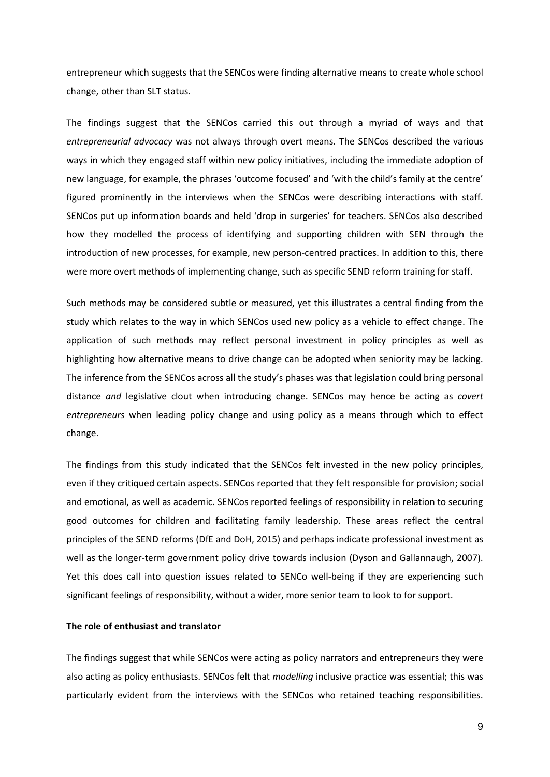entrepreneur which suggests that the SENCos were finding alternative means to create whole school change, other than SLT status.

The findings suggest that the SENCos carried this out through a myriad of ways and that *entrepreneurial advocacy* was not always through overt means. The SENCos described the various ways in which they engaged staff within new policy initiatives, including the immediate adoption of new language, for example, the phrases 'outcome focused' and 'with the child's family at the centre' figured prominently in the interviews when the SENCos were describing interactions with staff. SENCos put up information boards and held 'drop in surgeries' for teachers. SENCos also described how they modelled the process of identifying and supporting children with SEN through the introduction of new processes, for example, new person-centred practices. In addition to this, there were more overt methods of implementing change, such as specific SEND reform training for staff.

Such methods may be considered subtle or measured, yet this illustrates a central finding from the study which relates to the way in which SENCos used new policy as a vehicle to effect change. The application of such methods may reflect personal investment in policy principles as well as highlighting how alternative means to drive change can be adopted when seniority may be lacking. The inference from the SENCos across all the study's phases was that legislation could bring personal distance *and* legislative clout when introducing change. SENCos may hence be acting as *covert entrepreneurs* when leading policy change and using policy as a means through which to effect change.

The findings from this study indicated that the SENCos felt invested in the new policy principles, even if they critiqued certain aspects. SENCos reported that they felt responsible for provision; social and emotional, as well as academic. SENCos reported feelings of responsibility in relation to securing good outcomes for children and facilitating family leadership. These areas reflect the central principles of the SEND reforms (DfE and DoH, 2015) and perhaps indicate professional investment as well as the longer-term government policy drive towards inclusion (Dyson and Gallannaugh, 2007). Yet this does call into question issues related to SENCo well-being if they are experiencing such significant feelings of responsibility, without a wider, more senior team to look to for support.

## **The role of enthusiast and translator**

The findings suggest that while SENCos were acting as policy narrators and entrepreneurs they were also acting as policy enthusiasts. SENCos felt that *modelling* inclusive practice was essential; this was particularly evident from the interviews with the SENCos who retained teaching responsibilities.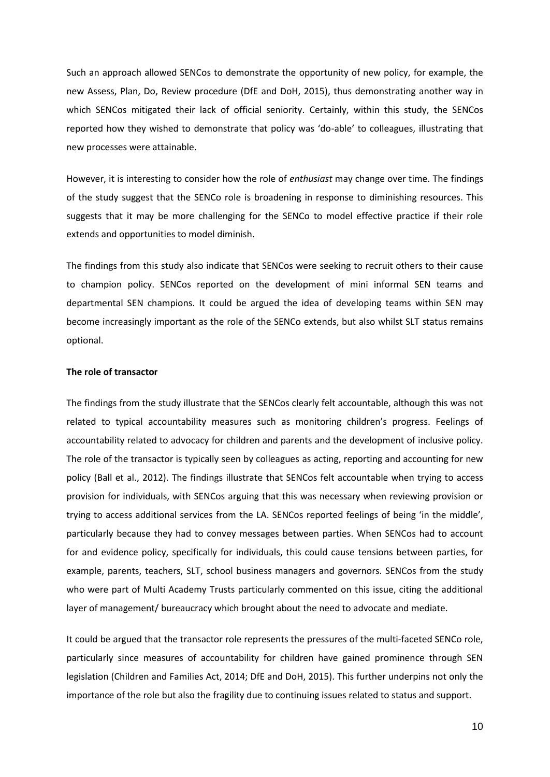Such an approach allowed SENCos to demonstrate the opportunity of new policy, for example, the new Assess, Plan, Do, Review procedure (DfE and DoH, 2015), thus demonstrating another way in which SENCos mitigated their lack of official seniority. Certainly, within this study, the SENCos reported how they wished to demonstrate that policy was 'do-able' to colleagues, illustrating that new processes were attainable.

However, it is interesting to consider how the role of *enthusiast* may change over time. The findings of the study suggest that the SENCo role is broadening in response to diminishing resources. This suggests that it may be more challenging for the SENCo to model effective practice if their role extends and opportunities to model diminish.

The findings from this study also indicate that SENCos were seeking to recruit others to their cause to champion policy. SENCos reported on the development of mini informal SEN teams and departmental SEN champions. It could be argued the idea of developing teams within SEN may become increasingly important as the role of the SENCo extends, but also whilst SLT status remains optional.

## **The role of transactor**

The findings from the study illustrate that the SENCos clearly felt accountable, although this was not related to typical accountability measures such as monitoring children's progress. Feelings of accountability related to advocacy for children and parents and the development of inclusive policy. The role of the transactor is typically seen by colleagues as acting, reporting and accounting for new policy (Ball et al., 2012). The findings illustrate that SENCos felt accountable when trying to access provision for individuals, with SENCos arguing that this was necessary when reviewing provision or trying to access additional services from the LA. SENCos reported feelings of being 'in the middle', particularly because they had to convey messages between parties. When SENCos had to account for and evidence policy, specifically for individuals, this could cause tensions between parties, for example, parents, teachers, SLT, school business managers and governors. SENCos from the study who were part of Multi Academy Trusts particularly commented on this issue, citing the additional layer of management/ bureaucracy which brought about the need to advocate and mediate.

It could be argued that the transactor role represents the pressures of the multi-faceted SENCo role, particularly since measures of accountability for children have gained prominence through SEN legislation (Children and Families Act, 2014; DfE and DoH, 2015). This further underpins not only the importance of the role but also the fragility due to continuing issues related to status and support.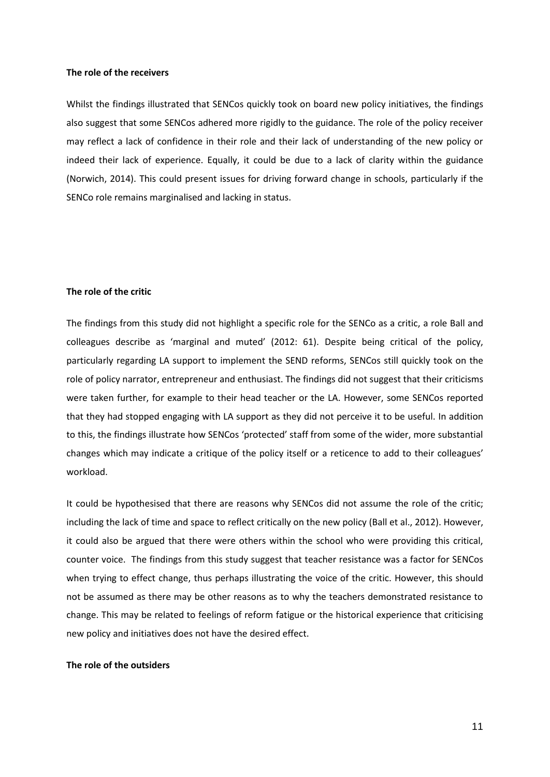#### **The role of the receivers**

Whilst the findings illustrated that SENCos quickly took on board new policy initiatives, the findings also suggest that some SENCos adhered more rigidly to the guidance. The role of the policy receiver may reflect a lack of confidence in their role and their lack of understanding of the new policy or indeed their lack of experience. Equally, it could be due to a lack of clarity within the guidance (Norwich, 2014). This could present issues for driving forward change in schools, particularly if the SENCo role remains marginalised and lacking in status.

## **The role of the critic**

The findings from this study did not highlight a specific role for the SENCo as a critic, a role Ball and colleagues describe as 'marginal and muted' (2012: 61). Despite being critical of the policy, particularly regarding LA support to implement the SEND reforms, SENCos still quickly took on the role of policy narrator, entrepreneur and enthusiast. The findings did not suggest that their criticisms were taken further, for example to their head teacher or the LA. However, some SENCos reported that they had stopped engaging with LA support as they did not perceive it to be useful. In addition to this, the findings illustrate how SENCos 'protected' staff from some of the wider, more substantial changes which may indicate a critique of the policy itself or a reticence to add to their colleagues' workload.

It could be hypothesised that there are reasons why SENCos did not assume the role of the critic; including the lack of time and space to reflect critically on the new policy (Ball et al., 2012). However, it could also be argued that there were others within the school who were providing this critical, counter voice. The findings from this study suggest that teacher resistance was a factor for SENCos when trying to effect change, thus perhaps illustrating the voice of the critic. However, this should not be assumed as there may be other reasons as to why the teachers demonstrated resistance to change. This may be related to feelings of reform fatigue or the historical experience that criticising new policy and initiatives does not have the desired effect.

## **The role of the outsiders**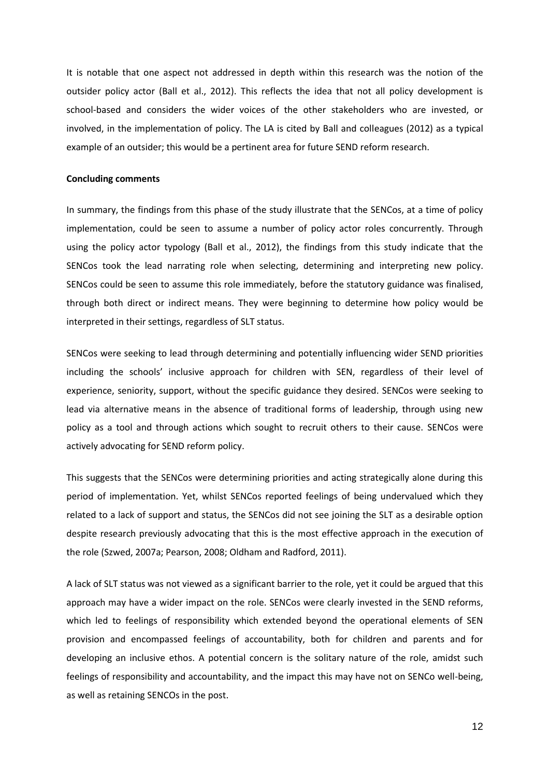It is notable that one aspect not addressed in depth within this research was the notion of the outsider policy actor (Ball et al., 2012). This reflects the idea that not all policy development is school-based and considers the wider voices of the other stakeholders who are invested, or involved, in the implementation of policy. The LA is cited by Ball and colleagues (2012) as a typical example of an outsider; this would be a pertinent area for future SEND reform research.

#### **Concluding comments**

In summary, the findings from this phase of the study illustrate that the SENCos, at a time of policy implementation, could be seen to assume a number of policy actor roles concurrently. Through using the policy actor typology (Ball et al., 2012), the findings from this study indicate that the SENCos took the lead narrating role when selecting, determining and interpreting new policy. SENCos could be seen to assume this role immediately, before the statutory guidance was finalised, through both direct or indirect means. They were beginning to determine how policy would be interpreted in their settings, regardless of SLT status.

SENCos were seeking to lead through determining and potentially influencing wider SEND priorities including the schools' inclusive approach for children with SEN, regardless of their level of experience, seniority, support, without the specific guidance they desired. SENCos were seeking to lead via alternative means in the absence of traditional forms of leadership, through using new policy as a tool and through actions which sought to recruit others to their cause. SENCos were actively advocating for SEND reform policy.

This suggests that the SENCos were determining priorities and acting strategically alone during this period of implementation. Yet, whilst SENCos reported feelings of being undervalued which they related to a lack of support and status, the SENCos did not see joining the SLT as a desirable option despite research previously advocating that this is the most effective approach in the execution of the role (Szwed, 2007a; Pearson, 2008; Oldham and Radford, 2011).

A lack of SLT status was not viewed as a significant barrier to the role, yet it could be argued that this approach may have a wider impact on the role. SENCos were clearly invested in the SEND reforms, which led to feelings of responsibility which extended beyond the operational elements of SEN provision and encompassed feelings of accountability, both for children and parents and for developing an inclusive ethos. A potential concern is the solitary nature of the role, amidst such feelings of responsibility and accountability, and the impact this may have not on SENCo well-being, as well as retaining SENCOs in the post.

12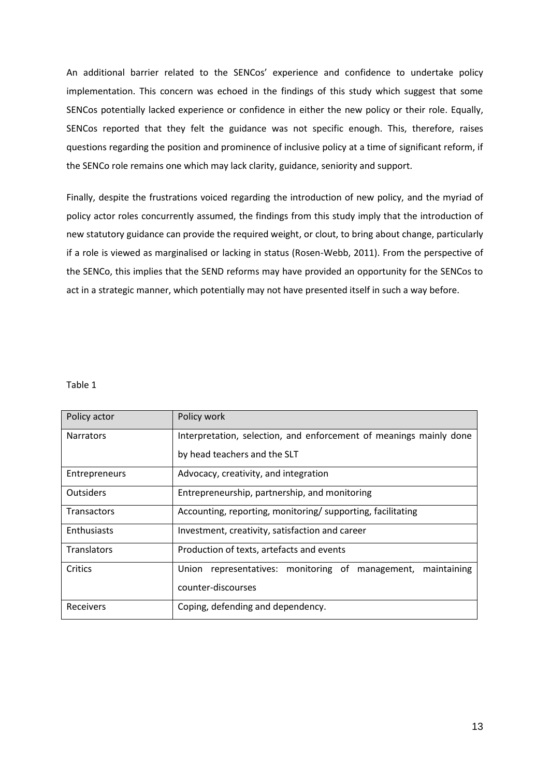An additional barrier related to the SENCos' experience and confidence to undertake policy implementation. This concern was echoed in the findings of this study which suggest that some SENCos potentially lacked experience or confidence in either the new policy or their role. Equally, SENCos reported that they felt the guidance was not specific enough. This, therefore, raises questions regarding the position and prominence of inclusive policy at a time of significant reform, if the SENCo role remains one which may lack clarity, guidance, seniority and support.

Finally, despite the frustrations voiced regarding the introduction of new policy, and the myriad of policy actor roles concurrently assumed, the findings from this study imply that the introduction of new statutory guidance can provide the required weight, or clout, to bring about change, particularly if a role is viewed as marginalised or lacking in status (Rosen-Webb, 2011). From the perspective of the SENCo, this implies that the SEND reforms may have provided an opportunity for the SENCos to act in a strategic manner, which potentially may not have presented itself in such a way before.

#### Table 1

| Policy actor       | Policy work                                                        |
|--------------------|--------------------------------------------------------------------|
| <b>Narrators</b>   | Interpretation, selection, and enforcement of meanings mainly done |
|                    | by head teachers and the SLT                                       |
| Entrepreneurs      | Advocacy, creativity, and integration                              |
| <b>Outsiders</b>   | Entrepreneurship, partnership, and monitoring                      |
| <b>Transactors</b> | Accounting, reporting, monitoring/supporting, facilitating         |
| Enthusiasts        | Investment, creativity, satisfaction and career                    |
| <b>Translators</b> | Production of texts, artefacts and events                          |
| Critics            | representatives: monitoring of management,<br>Union<br>maintaining |
|                    | counter-discourses                                                 |
| Receivers          | Coping, defending and dependency.                                  |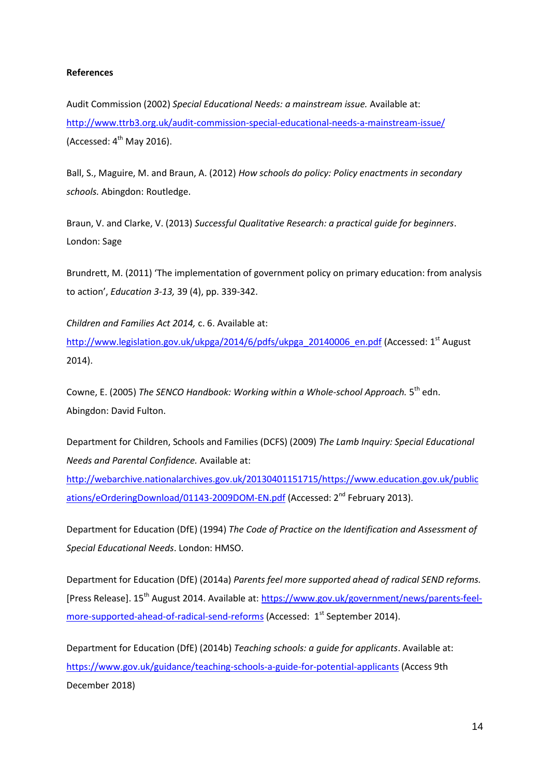# **References**

Audit Commission (2002) *Special Educational Needs: a mainstream issue.* Available at: <http://www.ttrb3.org.uk/audit-commission-special-educational-needs-a-mainstream-issue/> (Accessed:  $4<sup>th</sup>$  May 2016).

Ball, S., Maguire, M. and Braun, A. (2012) *How schools do policy: Policy enactments in secondary schools.* Abingdon: Routledge.

Braun, V. and Clarke, V. (2013) *Successful Qualitative Research: a practical guide for beginners*. London: Sage

Brundrett, M. (2011) 'The implementation of government policy on primary education: from analysis to action', *Education 3-13,* 39 (4), pp. 339-342.

*Children and Families Act 2014,* c. 6. Available at: [http://www.legislation.gov.uk/ukpga/2014/6/pdfs/ukpga\\_20140006\\_en.pdf](http://www.legislation.gov.uk/ukpga/2014/6/pdfs/ukpga_20140006_en.pdf) (Accessed: 1<sup>st</sup> August 2014).

Cowne, E. (2005) The SENCO Handbook: Working within a Whole-school Approach. 5<sup>th</sup> edn. Abingdon: David Fulton.

Department for Children, Schools and Families (DCFS) (2009) *The Lamb Inquiry: Special Educational Needs and Parental Confidence.* Available at:

[http://webarchive.nationalarchives.gov.uk/20130401151715/https://www.education.gov.uk/public](http://webarchive.nationalarchives.gov.uk/20130401151715/https:/www.education.gov.uk/publications/eOrderingDownload/01143-2009DOM-EN.pdf) [ations/eOrderingDownload/01143-2009DOM-EN.pdf](http://webarchive.nationalarchives.gov.uk/20130401151715/https:/www.education.gov.uk/publications/eOrderingDownload/01143-2009DOM-EN.pdf) (Accessed: 2<sup>nd</sup> February 2013).

Department for Education (DfE) (1994) *The Code of Practice on the Identification and Assessment of Special Educational Needs*. London: HMSO.

Department for Education (DfE) (2014a) *Parents feel more supported ahead of radical SEND reforms.*  [Press Release]. 15<sup>th</sup> August 2014. Available at: [https://www.gov.uk/government/news/parents-feel](https://www.gov.uk/government/news/parents-feel-more-supported-ahead-of-radical-send-reforms)[more-supported-ahead-of-radical-send-reforms](https://www.gov.uk/government/news/parents-feel-more-supported-ahead-of-radical-send-reforms) (Accessed: 1<sup>st</sup> September 2014).

Department for Education (DfE) (2014b) *Teaching schools: a guide for applicants*. Available at: <https://www.gov.uk/guidance/teaching-schools-a-guide-for-potential-applicants> (Access 9th December 2018)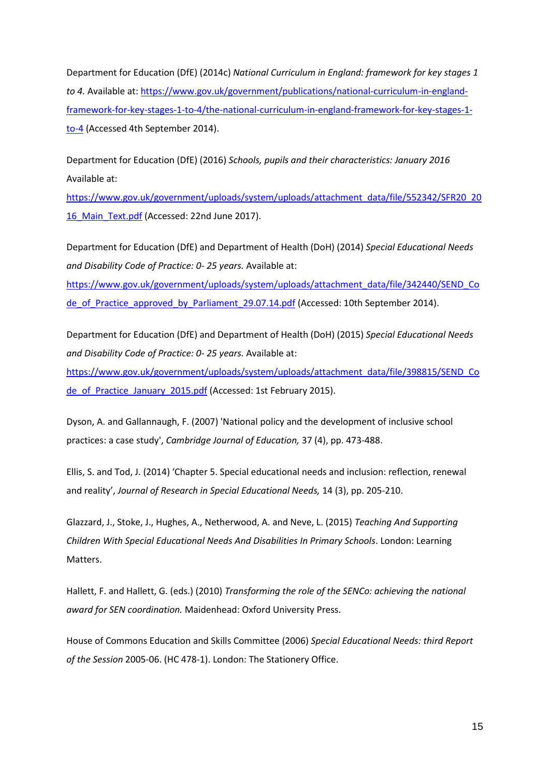Department for Education (DfE) (2014c) *National Curriculum in England: framework for key stages 1 to 4.* Available at: [https://www.gov.uk/government/publications/national-curriculum-in-england](https://www.gov.uk/government/publications/national-curriculum-in-england-framework-for-key-stages-1-to-4/the-national-curriculum-in-england-framework-for-key-stages-1-to-4)[framework-for-key-stages-1-to-4/the-national-curriculum-in-england-framework-for-key-stages-1](https://www.gov.uk/government/publications/national-curriculum-in-england-framework-for-key-stages-1-to-4/the-national-curriculum-in-england-framework-for-key-stages-1-to-4) [to-4](https://www.gov.uk/government/publications/national-curriculum-in-england-framework-for-key-stages-1-to-4/the-national-curriculum-in-england-framework-for-key-stages-1-to-4) (Accessed 4th September 2014).

Department for Education (DfE) (2016) *Schools, pupils and their characteristics: January 2016*  Available at:

[https://www.gov.uk/government/uploads/system/uploads/attachment\\_data/file/552342/SFR20\\_20](https://www.gov.uk/government/uploads/system/uploads/attachment_data/file/552342/SFR20_2016_Main_Text.pdf) 16 Main\_Text.pdf (Accessed: 22nd June 2017).

Department for Education (DfE) and Department of Health (DoH) (2014) *Special Educational Needs and Disability Code of Practice: 0- 25 years.* Available at:

[https://www.gov.uk/government/uploads/system/uploads/attachment\\_data/file/342440/SEND\\_Co](https://www.gov.uk/government/uploads/system/uploads/attachment_data/file/342440/SEND_Code_of_Practice_approved_by_Parliament_29.07.14.pdf) [de\\_of\\_Practice\\_approved\\_by\\_Parliament\\_29.07.14.pdf](https://www.gov.uk/government/uploads/system/uploads/attachment_data/file/342440/SEND_Code_of_Practice_approved_by_Parliament_29.07.14.pdf) (Accessed: 10th September 2014).

Department for Education (DfE) and Department of Health (DoH) (2015) *Special Educational Needs and Disability Code of Practice: 0- 25 years.* Available at:

[https://www.gov.uk/government/uploads/system/uploads/attachment\\_data/file/398815/SEND\\_Co](https://www.gov.uk/government/uploads/system/uploads/attachment_data/file/398815/SEND_Code_of_Practice_January_2015.pdf) [de\\_of\\_Practice\\_January\\_2015.pdf](https://www.gov.uk/government/uploads/system/uploads/attachment_data/file/398815/SEND_Code_of_Practice_January_2015.pdf) (Accessed: 1st February 2015).

Dyson, A. and Gallannaugh, F. (2007) 'National policy and the development of inclusive school practices: a case study', *Cambridge Journal of Education,* 37 (4), pp. 473-488.

Ellis, S. and Tod, J. (2014) 'Chapter 5. Special educational needs and inclusion: reflection, renewal and reality', *Journal of Research in Special Educational Needs,* 14 (3), pp. 205-210.

Glazzard, J., Stoke, J., Hughes, A., Netherwood, A. and Neve, L. (2015) *Teaching And Supporting Children With Special Educational Needs And Disabilities In Primary Schools*. London: Learning Matters.

Hallett, F. and Hallett, G. (eds.) (2010) *Transforming the role of the SENCo: achieving the national award for SEN coordination.* Maidenhead: Oxford University Press.

House of Commons Education and Skills Committee (2006) *Special Educational Needs: third Report of the Session* 2005-06. (HC 478-1). London: The Stationery Office.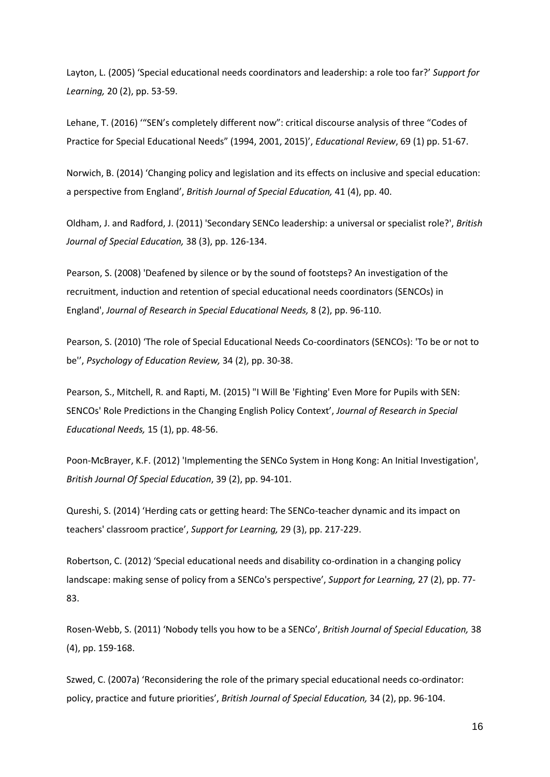Layton, L. (2005) 'Special educational needs coordinators and leadership: a role too far?' *Support for Learning,* 20 (2), pp. 53-59.

Lehane, T. (2016) '"SEN's completely different now": critical discourse analysis of three "Codes of Practice for Special Educational Needs" (1994, 2001, 2015)', *Educational Review*, 69 (1) pp. 51-67.

Norwich, B. (2014) 'Changing policy and legislation and its effects on inclusive and special education: a perspective from England', *British Journal of Special Education,* 41 (4), pp. 40.

Oldham, J. and Radford, J. (2011) 'Secondary SENCo leadership: a universal or specialist role?', *British Journal of Special Education,* 38 (3), pp. 126-134.

Pearson, S. (2008) 'Deafened by silence or by the sound of footsteps? An investigation of the recruitment, induction and retention of special educational needs coordinators (SENCOs) in England', *Journal of Research in Special Educational Needs,* 8 (2), pp. 96-110.

Pearson, S. (2010) 'The role of Special Educational Needs Co-coordinators (SENCOs): 'To be or not to be'', *Psychology of Education Review,* 34 (2), pp. 30-38.

Pearson, S., Mitchell, R. and Rapti, M. (2015) "I Will Be 'Fighting' Even More for Pupils with SEN: SENCOs' Role Predictions in the Changing English Policy Context', *Journal of Research in Special Educational Needs,* 15 (1), pp. 48-56.

Poon-McBrayer, K.F. (2012) 'Implementing the SENCo System in Hong Kong: An Initial Investigation', *British Journal Of Special Education*, 39 (2), pp. 94-101.

Qureshi, S. (2014) 'Herding cats or getting heard: The SENCo-teacher dynamic and its impact on teachers' classroom practice', *Support for Learning,* 29 (3), pp. 217-229.

Robertson, C. (2012) 'Special educational needs and disability co-ordination in a changing policy landscape: making sense of policy from a SENCo's perspective', *Support for Learning,* 27 (2), pp. 77- 83.

Rosen-Webb, S. (2011) 'Nobody tells you how to be a SENCo', *British Journal of Special Education,* 38 (4), pp. 159-168.

Szwed, C. (2007a) 'Reconsidering the role of the primary special educational needs co-ordinator: policy, practice and future priorities', *British Journal of Special Education,* 34 (2), pp. 96-104.